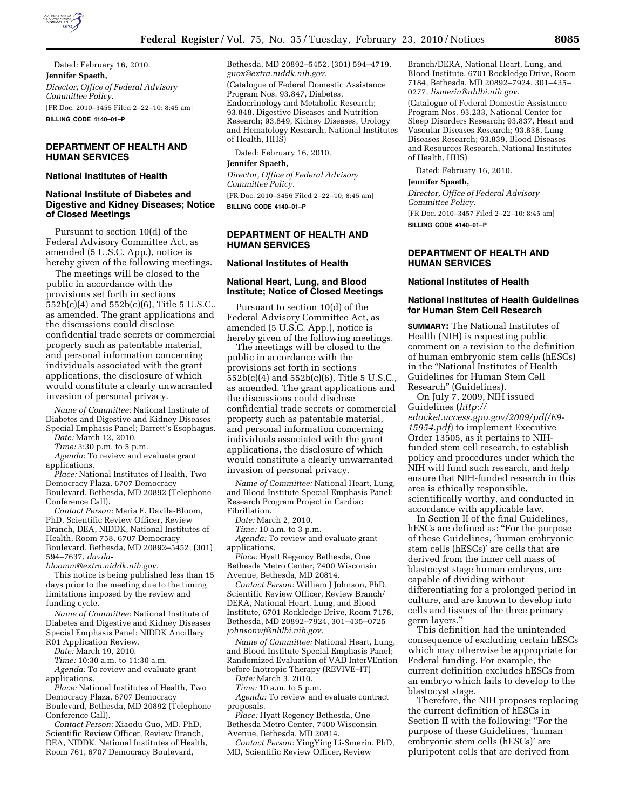

Dated: February 16, 2010. **Jennifer Spaeth,**  *Director, Office of Federal Advisory Committee Policy.*  [FR Doc. 2010–3455 Filed 2–22–10; 8:45 am] **BILLING CODE 4140–01–P** 

# **DEPARTMENT OF HEALTH AND HUMAN SERVICES**

#### **National Institutes of Health**

#### **National Institute of Diabetes and Digestive and Kidney Diseases; Notice of Closed Meetings**

Pursuant to section 10(d) of the Federal Advisory Committee Act, as amended (5 U.S.C. App.), notice is hereby given of the following meetings.

The meetings will be closed to the public in accordance with the provisions set forth in sections 552b(c)(4) and 552b(c)(6), Title 5 U.S.C., as amended. The grant applications and the discussions could disclose confidential trade secrets or commercial property such as patentable material, and personal information concerning individuals associated with the grant applications, the disclosure of which would constitute a clearly unwarranted invasion of personal privacy.

*Name of Committee:* National Institute of Diabetes and Digestive and Kidney Diseases Special Emphasis Panel; Barrett's Esophagus.

*Date:* March 12, 2010.

*Time:* 3:30 p.m. to 5 p.m.

*Agenda:* To review and evaluate grant applications.

*Place:* National Institutes of Health, Two Democracy Plaza, 6707 Democracy Boulevard, Bethesda, MD 20892 (Telephone Conference Call).

*Contact Person:* Maria E. Davila-Bloom, PhD, Scientific Review Officer, Review Branch, DEA, NIDDK, National Institutes of Health, Room 758, 6707 Democracy Boulevard, Bethesda, MD 20892–5452, (301) 594–7637, *davila-*

*bloomm@extra.niddk.nih.gov.* 

This notice is being published less than 15 days prior to the meeting due to the timing limitations imposed by the review and funding cycle.

*Name of Committee:* National Institute of Diabetes and Digestive and Kidney Diseases Special Emphasis Panel; NIDDK Ancillary R01 Application Review.

*Date:* March 19, 2010.

*Time:* 10:30 a.m. to 11:30 a.m.

*Agenda:* To review and evaluate grant applications.

*Place:* National Institutes of Health, Two Democracy Plaza, 6707 Democracy Boulevard, Bethesda, MD 20892 (Telephone

Conference Call). *Contact Person:* Xiaodu Guo, MD, PhD, Scientific Review Officer, Review Branch,

DEA, NIDDK, National Institutes of Health, Room 761, 6707 Democracy Boulevard,

Bethesda, MD 20892–5452, (301) 594–4719, *guox@extra.niddk.nih.gov.*  (Catalogue of Federal Domestic Assistance Program Nos. 93.847, Diabetes, Endocrinology and Metabolic Research; 93.848, Digestive Diseases and Nutrition Research; 93.849, Kidney Diseases, Urology and Hematology Research, National Institutes of Health, HHS)

Dated: February 16, 2010.

#### **Jennifer Spaeth,**

*Director, Office of Federal Advisory Committee Policy.*  [FR Doc. 2010–3456 Filed 2–22–10; 8:45 am]

**BILLING CODE 4140–01–P** 

### **DEPARTMENT OF HEALTH AND HUMAN SERVICES**

#### **National Institutes of Health**

#### **National Heart, Lung, and Blood Institute; Notice of Closed Meetings**

Pursuant to section 10(d) of the Federal Advisory Committee Act, as amended (5 U.S.C. App.), notice is hereby given of the following meetings.

The meetings will be closed to the public in accordance with the provisions set forth in sections 552b(c)(4) and 552b(c)(6), Title 5 U.S.C., as amended. The grant applications and the discussions could disclose confidential trade secrets or commercial property such as patentable material, and personal information concerning individuals associated with the grant applications, the disclosure of which would constitute a clearly unwarranted invasion of personal privacy.

*Name of Committee:* National Heart, Lung, and Blood Institute Special Emphasis Panel; Research Program Project in Cardiac Fibrillation.

*Date:* March 2, 2010.

*Time:* 10 a.m. to 3 p.m.

*Agenda:* To review and evaluate grant applications.

*Place:* Hyatt Regency Bethesda, One Bethesda Metro Center, 7400 Wisconsin Avenue, Bethesda, MD 20814.

*Contact Person:* William J Johnson, PhD, Scientific Review Officer, Review Branch/ DERA, National Heart, Lung, and Blood Institute, 6701 Rockledge Drive, Room 7178, Bethesda, MD 20892–7924, 301–435–0725 *johnsonwj@nhlbi.nih.gov.* 

*Name of Committee:* National Heart, Lung, and Blood Institute Special Emphasis Panel; Randomized Evaluation of VAD InterVEntion before Inotropic Therapy (REVIVE–IT)

*Date:* March 3, 2010.

*Time:* 10 a.m. to 5 p.m. *Agenda:* To review and evaluate contract

proposals. *Place:* Hyatt Regency Bethesda, One

Bethesda Metro Center, 7400 Wisconsin Avenue, Bethesda, MD 20814.

*Contact Person:* YingYing Li-Smerin, PhD, MD, Scientific Review Officer, Review

Branch/DERA, National Heart, Lung, and Blood Institute, 6701 Rockledge Drive, Room 7184, Bethesda, MD 20892–7924, 301–435– 0277, *lismerin@nhlbi.nih.gov.* 

(Catalogue of Federal Domestic Assistance Program Nos. 93.233, National Center for Sleep Disorders Research; 93.837, Heart and Vascular Diseases Research; 93.838, Lung Diseases Research; 93.839, Blood Diseases and Resources Research, National Institutes of Health, HHS)

Dated: February 16, 2010.

**Jennifer Spaeth,** 

*Director, Office of Federal Advisory Committee Policy.* 

[FR Doc. 2010–3457 Filed 2–22–10; 8:45 am]

**BILLING CODE 4140–01–P** 

# **DEPARTMENT OF HEALTH AND HUMAN SERVICES**

#### **National Institutes of Health**

# **National Institutes of Health Guidelines for Human Stem Cell Research**

**SUMMARY:** The National Institutes of Health (NIH) is requesting public comment on a revision to the definition of human embryonic stem cells (hESCs) in the ''National Institutes of Health Guidelines for Human Stem Cell Research'' (Guidelines).

On July 7, 2009, NIH issued Guidelines (*http:// edocket.access.gpo.gov/2009/pdf/E9- 15954.pdf*) to implement Executive

Order 13505, as it pertains to NIHfunded stem cell research, to establish policy and procedures under which the NIH will fund such research, and help ensure that NIH-funded research in this area is ethically responsible, scientifically worthy, and conducted in accordance with applicable law.

In Section II of the final Guidelines, hESCs are defined as: "For the purpose of these Guidelines, 'human embryonic stem cells (hESCs)' are cells that are derived from the inner cell mass of blastocyst stage human embryos, are capable of dividing without differentiating for a prolonged period in culture, and are known to develop into cells and tissues of the three primary germ layers.''

This definition had the unintended consequence of excluding certain hESCs which may otherwise be appropriate for Federal funding. For example, the current definition excludes hESCs from an embryo which fails to develop to the blastocyst stage.

Therefore, the NIH proposes replacing the current definition of hESCs in Section II with the following: "For the purpose of these Guidelines, 'human embryonic stem cells (hESCs)' are pluripotent cells that are derived from